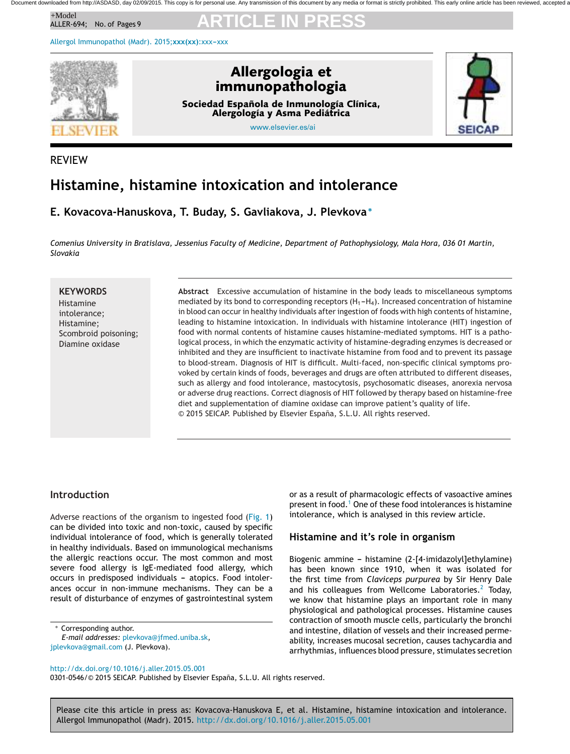Allergol [Immunopathol](dx.doi.org/10.1016/j.aller.2015.05.001) (Madr). 2015;xxx(xx):xxx-xxx



## REVIEW

## **Histamine, histamine intoxication and intolerance**

**E. Kovacova-Hanuskova, T. Buday, S. Gavliakova, J. Plevkova <sup>∗</sup>**

Comenius University in Bratislava, Jessenius Faculty of Medicine, Department of Pathophysiology, Mala Hora, 036 01 Martin, *Slovakia*

#### **KEYWORDS**

Histamine intolerance; Histamine; Scombroid poisoning; Diamine oxidase

**Abstract** Excessive accumulation of histamine in the body leads to miscellaneous symptoms mediated by its bond to corresponding receptors  $(H_1-H_4)$ . Increased concentration of histamine in blood can occur in healthy individuals after ingestion of foods with high contents of histamine, leading to histamine intoxication. In individuals with histamine intolerance (HIT) ingestion of food with normal contents of histamine causes histamine-mediated symptoms. HIT is a pathological process, in which the enzymatic activity of histamine-degrading enzymes is decreased or inhibited and they are insufficient to inactivate histamine from food and to prevent its passage to blood-stream. Diagnosis of HIT is difficult. Multi-faced, non-specific clinical symptoms provoked by certain kinds of foods, beverages and drugs are often attributed to different diseases, such as allergy and food intolerance, mastocytosis, psychosomatic diseases, anorexia nervosa or adverse drug reactions. Correct diagnosis of HIT followed by therapy based on histamine-free diet and supplementation of diamine oxidase can improve patient's quality of life. © 2015 SEICAP. Published by Elsevier España, S.L.U. All rights reserved.

## **Introduction**

Adverse reactions of the organism to ingested food ([Fig.](#page-1-0) 1) can be divided into toxic and non-toxic, caused by specific individual intolerance of food, which is generally tolerated in healthy individuals. Based on immunological mechanisms the allergic reactions occur. The most common and most severe food allergy is IgE-mediated food allergy, which occurs in predisposed individuals - atopics. Food intolerances occur in non-immune mechanisms. They can be a result of disturbance of enzymes of gastrointestinal system

∗ Corresponding author.

*E-mail addresses:* [plevkova@jfmed.uniba.sk,](mailto:plevkova@jfmed.uniba.sk) [jplevkova@gmail.com](mailto:jplevkova@gmail.com) (J. Plevkova).

or as a result of pharmacologic effects of vasoactive amines present in food.<sup>1</sup> [O](#page-7-0)ne of these food intolerances is histamine intolerance, which is analysed in this review article.

## **Histamine and it's role in organism**

Biogenic ammine -- histamine  $(2-[4-imidazolyl]ethylamine)$ has been known since 1910, when it was isolated for the first time from *Claviceps purpurea* by Sir Henry Dale and his colleagues from Wellcome Laboratories.<sup>[2](#page-7-0)</sup> Today, we know that histamine plays an important role in many physiological and pathological processes. Histamine causes contraction of smooth muscle cells, particularly the bronchi and intestine, dilation of vessels and their increased permeability, increases mucosal secretion, causes tachycardia and arrhythmias, influences blood pressure, stimulates secretion

[http://dx.doi.org/10.1016/j.aller.2015.05.001](dx.doi.org/10.1016/j.aller.2015.05.001)

0301-0546/© 2015 SEICAP. Published by Elsevier España, S.L.U. All rights reserved.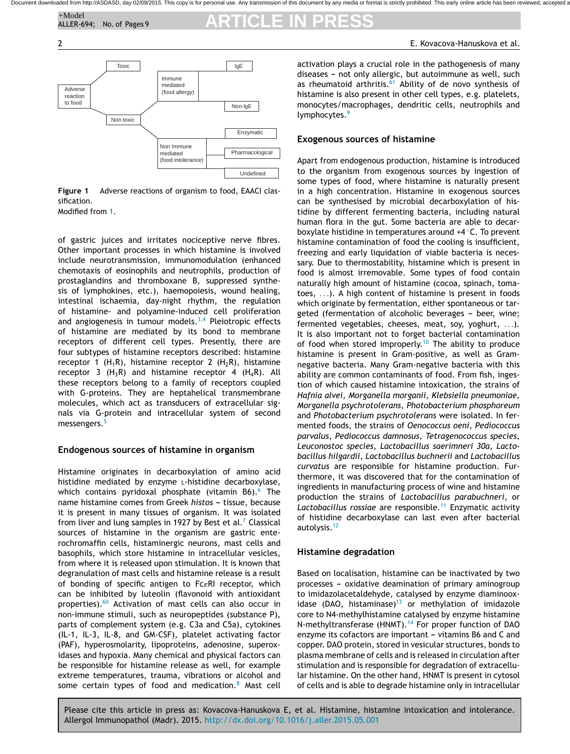<span id="page-1-0"></span>

**Figure 1** Adverse reactions of organism to food, EAACI classification.

Modified from [1.](#page-7-0)

of gastric juices and irritates nociceptive nerve fibres. Other important processes in which histamine is involved include neurotransmission, immunomodulation (enhanced chemotaxis of eosinophils and neutrophils, production of prostaglandins and thromboxane B, suppressed synthesis of lymphokines, etc.), haemopoiesis, wound healing, intestinal ischaemia, day-night rhythm, the regulation of histamine- and polyamine-induced cell proliferation and angiogenesis in tumour models. $3,4$  Pleiotropic effects of histamine are mediated by its bond to membrane receptors of different cell types. Presently, there are four subtypes of histamine receptors described: histamine receptor 1 (H<sub>1</sub>R), histamine receptor 2 (H<sub>2</sub>R), histamine receptor 3 (H<sub>3</sub>R) and histamine receptor 4 (H<sub>4</sub>R). All these receptors belong to a family of receptors coupled with G-proteins. They are heptahelical transmembrane molecules, which act as transducers of extracellular signals via G-protein and intracellular system of second messengers.<sup>[5](#page-7-0)</sup>

## **Endogenous sources of histamine in organism**

Histamine originates in decarboxylation of amino acid histidine mediated by enzyme L-histidine decarboxylase, which contains pyridoxal phosphate (vitamin  $B6$  $B6$ ).<sup>6</sup> The name histamine comes from Greek *histos* - tissue, because it is present in many tissues of organism. It was isolated from liver and lung samples in 192[7](#page-7-0) by Best et al.<sup>7</sup> Classical sources of histamine in the organism are gastric enterochromaffin cells, histaminergic neurons, mast cells and basophils, which store histamine in intracellular vesicles, from where it is released upon stimulation. It is known that degranulation of mast cells and histamine release is a result of bonding of specific antigen to Fc $\varepsilon$ RI receptor, which can be inhibited by luteolin (flavonoid with antioxidant properties).<sup>[60](#page-8-0)</sup> Activation of mast cells can also occur in non-immune stimuli, such as neuropeptides (substance P), parts of complement system (e.g. C3a and C5a), cytokines (IL-1, IL-3, IL-8, and GM-CSF), platelet activating factor (PAF), hyperosmolarity, lipoproteins, adenosine, superoxidases and hypoxia. Many chemical and physical factors can be responsible for histamine release as well, for example extreme temperatures, trauma, vibrations or alcohol and some certain types of food and medication. $8$  Mast cell

activation plays a crucial role in the pathogenesis of many diseases - not only allergic, but autoimmune as well, such as rheumatoid arthritis.<sup>[61](#page-8-0)</sup> Ability of de novo synthesis of histamine is also present in other cell types, e.g. platelets, monocytes/macrophages, dendritic cells, neutrophils and lymphocytes.<sup>[9](#page-7-0)</sup>

### **Exogenous sources of histamine**

Apart from endogenous production, histamine is introduced to the organism from exogenous sources by ingestion of some types of food, where histamine is naturally present in a high concentration. Histamine in exogenous sources can be synthesised by microbial decarboxylation of histidine by different fermenting bacteria, including natural human flora in the gut. Some bacteria are able to decarboxylate histidine in temperatures around +4 ◦C. To prevent histamine contamination of food the cooling is insufficient, freezing and early liquidation of viable bacteria is necessary. Due to thermostability, histamine which is present in food is almost irremovable. Some types of food contain naturally high amount of histamine (cocoa, spinach, tomatoes, . . .). A high content of histamine is present in foods which originate by fermentation, either spontaneous or targeted (fermentation of alcoholic beverages - beer, wine; fermented vegetables, cheeses, meat, soy, yoghurt, . . .). It is also important not to forget bacterial contamination of food when stored improperly.<sup>[10](#page-7-0)</sup> The ability to produce histamine is present in Gram-positive, as well as Gramnegative bacteria. Many Gram-negative bacteria with this ability are common contaminants of food. From fish, ingestion of which caused histamine intoxication, the strains of *Hafnia alvei, Morganella morganii, Klebsiella pneumoniae, Morganella psychrotolerans, Photobacterium phosphoreum* and *Photobacterium psychrotolerans* were isolated. In fermented foods, the strains of *Oenococcus oeni, Pediococcus parvalus, Pediococcus damnosus, Tetragenococcus species, Leuconostoc species, Lactobacillus saerimneri 30a, Lactobacillus hilgardii, Lactobacillus buchnerii* and *Lactobacillus curvatus* are responsible for histamine production. Furthermore, it was discovered that for the contamination of ingredients in manufacturing process of wine and histamine production the strains of *Lactobacillus parabuchneri*, or *Lactobacillus rossiae* are responsible.[11](#page-7-0) Enzymatic activity of histidine decarboxylase can last even after bacterial autolysis.<sup>[12](#page-7-0)</sup>

## **Histamine degradation**

Based on localisation, histamine can be inactivated by two processes - oxidative deamination of primary aminogroup to imidazolacetaldehyde, catalysed by enzyme diaminooxidase (DAO, histaminase) $13$  or methylation of imidazole core to N4-methylhistamine catalysed by enzyme histamine N-methyltransferase (HNMT).<sup>[14](#page-7-0)</sup> For proper function of DAO enzyme its cofactors are important - vitamins B6 and C and copper. DAO protein, stored in vesicular structures, bonds to plasma membrane of cells and is released in circulation after stimulation and is responsible for degradation of extracellular histamine. On the other hand, HNMT is present in cytosol of cells and is able to degrade histamine only in intracellular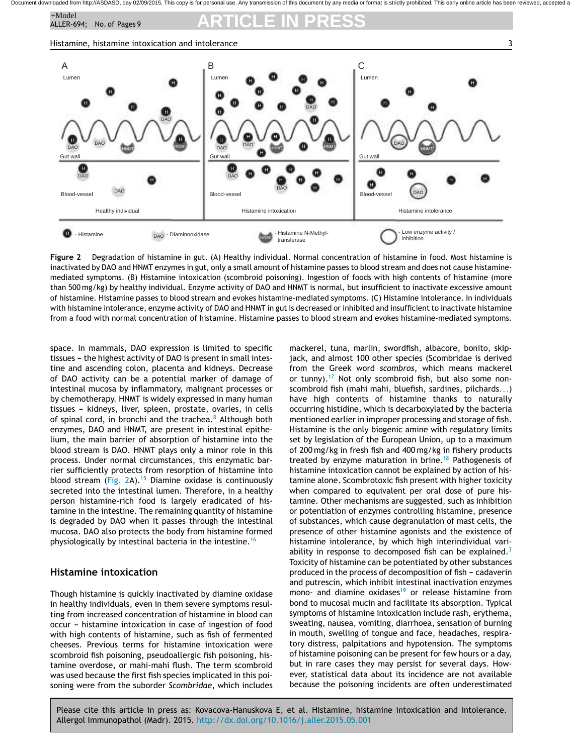<span id="page-2-0"></span>Histamine, histamine intoxication and intolerance 3



**Figure 2** Degradation of histamine in gut. (A) Healthy individual. Normal concentration of histamine in food. Most histamine is inactivated by DAO and HNMT enzymes in gut, only a small amount of histamine passes to blood stream and does not cause histaminemediated symptoms. (B) Histamine intoxication (scombroid poisoning). Ingestion of foods with high contents of histamine (more than 500 mg/kg) by healthy individual. Enzyme activity of DAO and HNMT is normal, but insufficient to inactivate excessive amount of histamine. Histamine passes to blood stream and evokes histamine-mediated symptoms. (C) Histamine intolerance. In individuals with histamine intolerance, enzyme activity of DAO and HNMT in gut is decreased or inhibited and insufficient to inactivate histamine from a food with normal concentration of histamine. Histamine passes to blood stream and evokes histamine-mediated symptoms.

space. In mammals, DAO expression is limited to specific tissues - the highest activity of DAO is present in small intestine and ascending colon, placenta and kidneys. Decrease of DAO activity can be a potential marker of damage of intestinal mucosa by inflammatory, malignant processes or by chemotherapy. HNMT is widely expressed in many human tissues - kidneys, liver, spleen, prostate, ovaries, in cells of spinal cord, in bronchi and the trachea.<sup>[8](#page-7-0)</sup> Although both enzymes, DAO and HNMT, are present in intestinal epithelium, the main barrier of absorption of histamine into the blood stream is DAO. HNMT plays only a minor role in this process. Under normal circumstances, this enzymatic barrier sufficiently protects from resorption of histamine into blood stream (Fig. 2A).<sup>[15](#page-7-0)</sup> Diamine oxidase is continuously secreted into the intestinal lumen. Therefore, in a healthy person histamine-rich food is largely eradicated of histamine in the intestine. The remaining quantity of histamine is degraded by DAO when it passes through the intestinal mucosa. DAO also protects the body from histamine formed physiologically by intestinal bacteria in the intestine.[16](#page-7-0)

## **Histamine intoxication**

Though histamine is quickly inactivated by diamine oxidase in healthy individuals, even in them severe symptoms resulting from increased concentration of histamine in blood can occur - histamine intoxication in case of ingestion of food with high contents of histamine, such as fish of fermented cheeses. Previous terms for histamine intoxication were scombroid fish poisoning, pseudoallergic fish poisoning, histamine overdose, or mahi-mahi flush. The term scombroid was used because the first fish species implicated in this poisoning were from the suborder *Scombridae*, which includes mackerel, tuna, marlin, swordfish, albacore, bonito, skipjack, and almost 100 other species (Scombridae is derived from the Greek word *scombros*, which means mackerel or tunny). $17$  Not only scombroid fish, but also some nonscombroid fish (mahi mahi, bluefish, sardines, pilchards. . .) have high contents of histamine thanks to naturally occurring histidine, which is decarboxylated by the bacteria mentioned earlier in improper processing and storage of fish. Histamine is the only biogenic amine with regulatory limits set by legislation of the European Union, up to a maximum of 200 mg/kg in fresh fish and 400 mg/kg in fishery products treated by enzyme maturation in brine.<sup>[18](#page-7-0)</sup> Pathogenesis of histamine intoxication cannot be explained by action of histamine alone. Scombrotoxic fish present with higher toxicity when compared to equivalent per oral dose of pure histamine. Other mechanisms are suggested, such as inhibition or potentiation of enzymes controlling histamine, presence of substances, which cause degranulation of mast cells, the presence of other histamine agonists and the existence of histamine intolerance, by which high interindividual vari-ability in response to decomposed fish can be explained.<sup>[3](#page-7-0)</sup> Toxicity of histamine can be potentiated by other substances produced in the process of decomposition of fish - cadaverin and putrescin, which inhibit intestinal inactivation enzymes mono- and diamine oxidases<sup>[19](#page-7-0)</sup> or release histamine from bond to mucosal mucin and facilitate its absorption. Typical symptoms of histamine intoxication include rash, erythema, sweating, nausea, vomiting, diarrhoea, sensation of burning in mouth, swelling of tongue and face, headaches, respiratory distress, palpitations and hypotension. The symptoms of histamine poisoning can be present for few hours or a day, but in rare cases they may persist for several days. However, statistical data about its incidence are not available because the poisoning incidents are often underestimated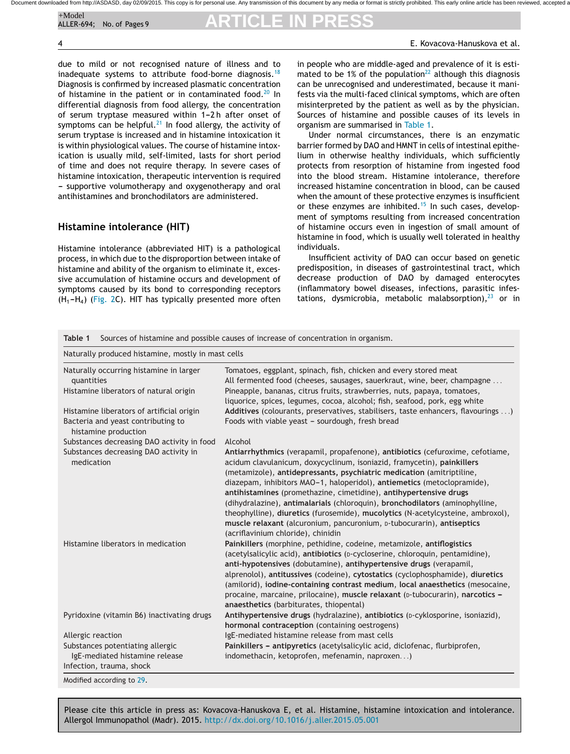due to mild or not recognised nature of illness and to inadequate systems to attribute food-borne diagnosis.<sup>[18](#page-7-0)</sup> Diagnosis is confirmed by increased plasmatic concentration of histamine in the patient or in contaminated food. $20 \text{ In}$  $20 \text{ In}$ differential diagnosis from food allergy, the concentration of serum tryptase measured within 1-2h after onset of symptoms can be helpful.<sup>[21](#page-7-0)</sup> In food allergy, the activity of serum tryptase is increased and in histamine intoxication it is within physiological values. The course of histamine intoxication is usually mild, self-limited, lasts for short period of time and does not require therapy. In severe cases of histamine intoxication, therapeutic intervention is required - supportive volumotherapy and oxygenotherapy and oral antihistamines and bronchodilators are administered.

## **Histamine intolerance (HIT)**

Histamine intolerance (abbreviated HIT) is a pathological process, in which due to the disproportion between intake of histamine and ability of the organism to eliminate it, excessive accumulation of histamine occurs and development of symptoms caused by its bond to corresponding receptors  $(H_1-H_4)$  ([Fig.](#page-2-0) 2C). HIT has typically presented more often

in people who are middle-aged and prevalence of it is esti-mated to be 1% of the population<sup>[22](#page-7-0)</sup> although this diagnosis can be unrecognised and underestimated, because it manifests via the multi-faced clinical symptoms, which are often misinterpreted by the patient as well as by the physician. Sources of histamine and possible causes of its levels in organism are summarised in Table 1.

Under normal circumstances, there is an enzymatic barrier formed by DAO and HMNT in cells of intestinal epithelium in otherwise healthy individuals, which sufficiently protects from resorption of histamine from ingested food into the blood stream. Histamine intolerance, therefore increased histamine concentration in blood, can be caused when the amount of these protective enzymes is insufficient or these enzymes are inhibited.<sup>[15](#page-7-0)</sup> In such cases, development of symptoms resulting from increased concentration of histamine occurs even in ingestion of small amount of histamine in food, which is usually well tolerated in healthy individuals.

Insufficient activity of DAO can occur based on genetic predisposition, in diseases of gastrointestinal tract, which decrease production of DAO by damaged enterocytes (inflammatory bowel diseases, infections, parasitic infestations, dysmicrobia, metabolic malabsorption), $^{23}$  $^{23}$  $^{23}$  or in

| Sources of histamine and possible causes of increase of concentration in organism.<br>Table 1           |                                                                                                                                                                                                                                                                                                                                                                                                                                                                                                                                                                                                                                                                               |  |
|---------------------------------------------------------------------------------------------------------|-------------------------------------------------------------------------------------------------------------------------------------------------------------------------------------------------------------------------------------------------------------------------------------------------------------------------------------------------------------------------------------------------------------------------------------------------------------------------------------------------------------------------------------------------------------------------------------------------------------------------------------------------------------------------------|--|
| Naturally produced histamine, mostly in mast cells                                                      |                                                                                                                                                                                                                                                                                                                                                                                                                                                                                                                                                                                                                                                                               |  |
| Naturally occurring histamine in larger<br>quantities<br>Histamine liberators of natural origin         | Tomatoes, eggplant, spinach, fish, chicken and every stored meat<br>All fermented food (cheeses, sausages, sauerkraut, wine, beer, champagne<br>Pineapple, bananas, citrus fruits, strawberries, nuts, papaya, tomatoes,<br>liquorice, spices, legumes, cocoa, alcohol; fish, seafood, pork, egg white                                                                                                                                                                                                                                                                                                                                                                        |  |
| Histamine liberators of artificial origin<br>Bacteria and yeast contributing to<br>histamine production | Additives (colourants, preservatives, stabilisers, taste enhancers, flavourings )<br>Foods with viable yeast - sourdough, fresh bread                                                                                                                                                                                                                                                                                                                                                                                                                                                                                                                                         |  |
| Substances decreasing DAO activity in food<br>Substances decreasing DAO activity in<br>medication       | Alcohol<br>Antiarrhythmics (verapamil, propafenone), antibiotics (cefuroxime, cefotiame,<br>acidum clavulanicum, doxycyclinum, isoniazid, framycetin), painkillers<br>(metamizole), antidepressants, psychiatric medication (amitriptiline,<br>diazepam, inhibitors MAO-1, haloperidol), antiemetics (metoclopramide),<br>antihistamines (promethazine, cimetidine), antihypertensive drugs<br>(dihydralazine), antimalarials (chloroquin), bronchodilators (aminophylline,<br>theophylline), diuretics (furosemide), mucolytics (N-acetylcysteine, ambroxol),<br>muscle relaxant (alcuronium, pancuronium, p-tubocurarin), antiseptics<br>(acriflavinium chloride), chinidin |  |
| Histamine liberators in medication                                                                      | Painkillers (morphine, pethidine, codeine, metamizole, antiflogistics<br>(acetylsalicylic acid), antibiotics (p-cycloserine, chloroquin, pentamidine),<br>anti-hypotensives (dobutamine), antihypertensive drugs (verapamil,<br>alprenolol), antitussives (codeine), cytostatics (cyclophosphamide), diuretics<br>(amilorid), iodine-containing contrast medium, local anaesthetics (mesocaine,<br>procaine, marcaine, prilocaine), muscle relaxant (p-tubocurarin), narcotics -<br>anaesthetics (barbiturates, thiopental)                                                                                                                                                   |  |
| Pyridoxine (vitamin B6) inactivating drugs                                                              | Antihypertensive drugs (hydralazine), antibiotics (D-cyklosporine, isoniazid),<br>hormonal contraception (containing oestrogens)                                                                                                                                                                                                                                                                                                                                                                                                                                                                                                                                              |  |
| Allergic reaction                                                                                       | IgE-mediated histamine release from mast cells                                                                                                                                                                                                                                                                                                                                                                                                                                                                                                                                                                                                                                |  |
| Substances potentiating allergic<br>IgE-mediated histamine release<br>Infection, trauma, shock          | Painkillers - antipyretics (acetylsalicylic acid, diclofenac, flurbiprofen,<br>indomethacin, ketoprofen, mefenamin, naproxen)                                                                                                                                                                                                                                                                                                                                                                                                                                                                                                                                                 |  |

Modified according to [29.](#page-8-0)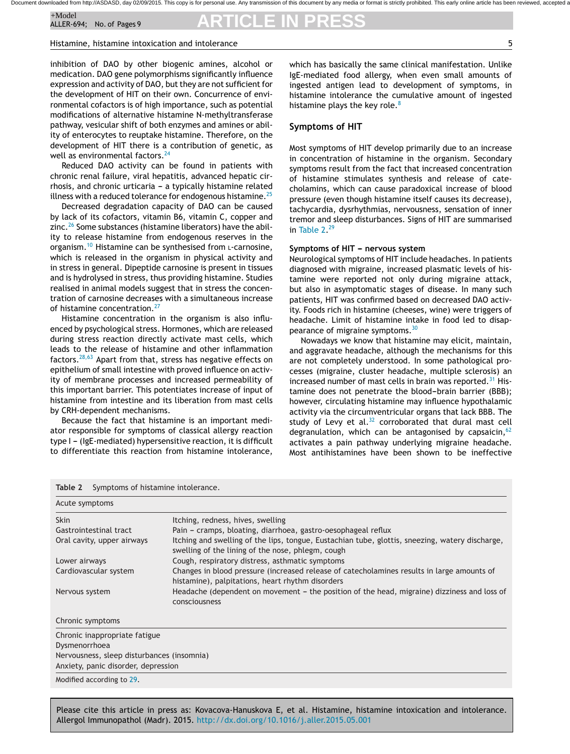## Histamine, histamine intoxication and intolerance 5

inhibition of DAO by other biogenic amines, alcohol or medication. DAO gene polymorphisms significantly influence expression and activity of DAO, but they are not sufficient for the development of HIT on their own. Concurrence of environmental cofactors is of high importance, such as potential modifications of alternative histamine N-methyltransferase pathway, vesicular shift of both enzymes and amines or ability of enterocytes to reuptake histamine. Therefore, on the development of HIT there is a contribution of genetic, as well as environmental factors.<sup>[24](#page-7-0)</sup>

Reduced DAO activity can be found in patients with chronic renal failure, viral hepatitis, advanced hepatic cirrhosis, and chronic urticaria - a typically histamine related illness with a reduced tolerance for endogenous histamine. $^{25}$  $^{25}$  $^{25}$ 

Decreased degradation capacity of DAO can be caused by lack of its cofactors, vitamin B6, vitamin C, copper and zinc.<sup>[26](#page-7-0)</sup> Some substances (histamine liberators) have the ability to release histamine from endogenous reserves in the organism.[10](#page-7-0) Histamine can be synthesised from l-carnosine, which is released in the organism in physical activity and in stress in general. Dipeptide carnosine is present in tissues and is hydrolysed in stress, thus providing histamine. Studies realised in animal models suggest that in stress the concentration of carnosine decreases with a simultaneous increase of histamine concentration.[27](#page-7-0)

Histamine concentration in the organism is also influenced by psychological stress. Hormones, which are released during stress reaction directly activate mast cells, which leads to the release of histamine and other inflammation factors.[28,63](#page-8-0) Apart from that, stress has negative effects on epithelium of small intestine with proved influence on activity of membrane processes and increased permeability of this important barrier. This potentiates increase of input of histamine from intestine and its liberation from mast cells by CRH-dependent mechanisms.

Because the fact that histamine is an important mediator responsible for symptoms of classical allergy reaction type I - (IgE-mediated) hypersensitive reaction, it is difficult to differentiate this reaction from histamine intolerance, which has basically the same clinical manifestation. Unlike IgE-mediated food allergy, when even small amounts of ingested antigen lead to development of symptoms, in histamine intolerance the cumulative amount of ingested histamine plays the key role. $8$ 

#### **Symptoms of HIT**

Most symptoms of HIT develop primarily due to an increase in concentration of histamine in the organism. Secondary symptoms result from the fact that increased concentration of histamine stimulates synthesis and release of catecholamins, which can cause paradoxical increase of blood pressure (even though histamine itself causes its decrease), tachycardia, dysrhythmias, nervousness, sensation of inner tremor and sleep disturbances. Signs of HIT are summarised in Table 2.[29](#page-8-0)

#### **Symptoms** of HIT - nervous system

Neurological symptoms of HIT include headaches. In patients diagnosed with migraine, increased plasmatic levels of histamine were reported not only during migraine attack, but also in asymptomatic stages of disease. In many such patients, HIT was confirmed based on decreased DAO activity. Foods rich in histamine (cheeses, wine) were triggers of headache. Limit of histamine intake in food led to disap-pearance of migraine symptoms.<sup>[30](#page-8-0)</sup>

Nowadays we know that histamine may elicit, maintain, and aggravate headache, although the mechanisms for this are not completely understood. In some pathological processes (migraine, cluster headache, multiple sclerosis) an increased number of mast cells in brain was reported.<sup>[31](#page-8-0)</sup> Histamine does not penetrate the blood-brain barrier (BBB); however, circulating histamine may influence hypothalamic activity via the circumventricular organs that lack BBB. The study of Levy et al. $32$  corroborated that dural mast cell degranulation, which can be antagonised by capsaicin, $62$ activates a pain pathway underlying migraine headache. Most antihistamines have been shown to be ineffective

| Acute symptoms                                 |                                                                                                                                                      |  |
|------------------------------------------------|------------------------------------------------------------------------------------------------------------------------------------------------------|--|
| <b>Skin</b>                                    | Itching, redness, hives, swelling                                                                                                                    |  |
| Gastrointestinal tract                         | Pain – cramps, bloating, diarrhoea, gastro-oesophageal reflux                                                                                        |  |
| Oral cavity, upper airways                     | Itching and swelling of the lips, tongue, Eustachian tube, glottis, sneezing, watery discharge,<br>swelling of the lining of the nose, phlegm, cough |  |
| Lower airways                                  | Cough, respiratory distress, asthmatic symptoms                                                                                                      |  |
| Cardiovascular system                          | Changes in blood pressure (increased release of catecholamines results in large amounts of<br>histamine), palpitations, heart rhythm disorders       |  |
| Nervous system                                 | Headache (dependent on movement – the position of the head, migraine) dizziness and loss of<br>consciousness                                         |  |
| Chronic symptoms                               |                                                                                                                                                      |  |
| Chronic inappropriate fatigue<br>Dysmenorrhoea |                                                                                                                                                      |  |
| Nervousness, sleep disturbances (insomnia)     |                                                                                                                                                      |  |
| Anxiety, panic disorder, depression            |                                                                                                                                                      |  |
| Modified according to 29.                      |                                                                                                                                                      |  |

**Table 2** Symptoms of histamine intoler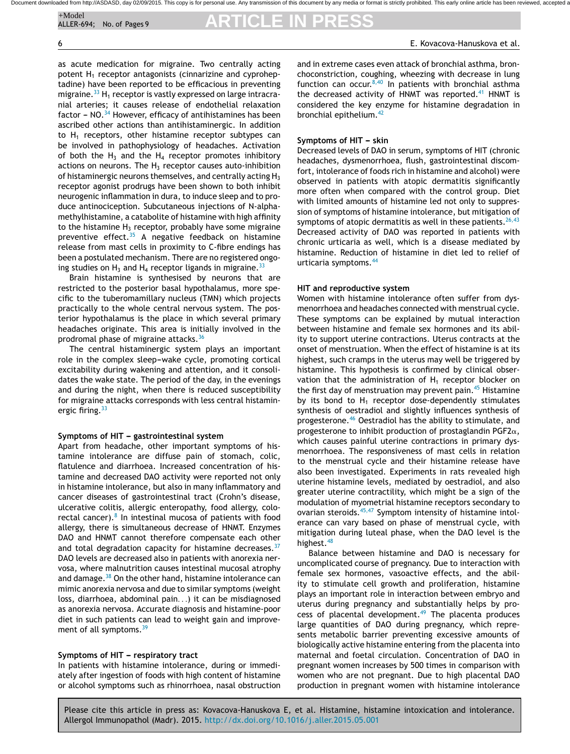as acute medication for migraine. Two centrally acting potent  $H_1$  receptor antagonists (cinnarizine and cyproheptadine) have been reported to be efficacious in preventing migraine.<sup>[33](#page-8-0)</sup> H<sub>1</sub> receptor is vastly expressed on large intracranial arteries; it causes release of endothelial relaxation factor -  $NO.^{34}$  $NO.^{34}$  $NO.^{34}$  However, efficacy of antihistamines has been ascribed other actions than antihistaminergic. In addition to  $H_1$  receptors, other histamine receptor subtypes can be involved in pathophysiology of headaches. Activation of both the H<sub>3</sub> and the H<sub>4</sub> receptor promotes inhibitory actions on neurons. The  $H_3$  receptor causes auto-inhibition of histaminergic neurons themselves, and centrally acting  $H_3$ receptor agonist prodrugs have been shown to both inhibit neurogenic inflammation in dura, to induce sleep and to produce antinociception. Subcutaneous injections of N-alphamethylhistamine, a catabolite of histamine with high affinity to the histamine  $H_3$  receptor, probably have some migraine preventive effect. $35$  A negative feedback on histamine release from mast cells in proximity to C-fibre endings has been a postulated mechanism. There are no registered ongoing studies on  $H_3$  and  $H_4$  receptor ligands in migraine.<sup>[33](#page-8-0)</sup>

Brain histamine is synthesised by neurons that are restricted to the posterior basal hypothalamus, more specific to the tuberomamillary nucleus (TMN) which projects practically to the whole central nervous system. The posterior hypothalamus is the place in which several primary headaches originate. This area is initially involved in the prodromal phase of migraine attacks.[36](#page-8-0)

The central histaminergic system plays an important role in the complex sleep-wake cycle, promoting cortical excitability during wakening and attention, and it consolidates the wake state. The period of the day, in the evenings and during the night, when there is reduced susceptibility for migraine attacks corresponds with less central histamin-ergic firing.<sup>[33](#page-8-0)</sup>

#### **Symptoms** of HIT - gastrointestinal system

Apart from headache, other important symptoms of histamine intolerance are diffuse pain of stomach, colic, flatulence and diarrhoea. Increased concentration of histamine and decreased DAO activity were reported not only in histamine intolerance, but also in many inflammatory and cancer diseases of gastrointestinal tract (Crohn's disease, ulcerative colitis, allergic enteropathy, food allergy, colorectal cancer). $8$  In intestinal mucosa of patients with food allergy, there is simultaneous decrease of HNMT. Enzymes DAO and HNMT cannot therefore compensate each other and total degradation capacity for histamine decreases. $37$ DAO levels are decreased also in patients with anorexia nervosa, where malnutrition causes intestinal mucosal atrophy and damage.<sup>[38](#page-8-0)</sup> On the other hand, histamine intolerance can mimic anorexia nervosa and due to similar symptoms (weight loss, diarrhoea, abdominal pain. . .) it can be misdiagnosed as anorexia nervosa. Accurate diagnosis and histamine-poor diet in such patients can lead to weight gain and improve-ment of all symptoms.<sup>[39](#page-8-0)</sup>

#### **Symptoms** of HIT - respiratory tract

In patients with histamine intolerance, during or immediately after ingestion of foods with high content of histamine or alcohol symptoms such as rhinorrhoea, nasal obstruction and in extreme cases even attack of bronchial asthma, bronchoconstriction, coughing, wheezing with decrease in lung function can occur.  $8,40$  In patients with bronchial asthma the decreased activity of HNMT was reported. $41$  HNMT is considered the key enzyme for histamine degradation in bronchial epithelium.[42](#page-8-0)

#### **Symptoms** of HIT - skin

Decreased levels of DAO in serum, symptoms of HIT (chronic headaches, dysmenorrhoea, flush, gastrointestinal discomfort, intolerance of foods rich in histamine and alcohol) were observed in patients with atopic dermatitis significantly more often when compared with the control group. Diet with limited amounts of histamine led not only to suppression of symptoms of histamine intolerance, but mitigation of symptoms of atopic dermatitis as well in these patients. $26,43$ Decreased activity of DAO was reported in patients with chronic urticaria as well, which is a disease mediated by histamine. Reduction of histamine in diet led to relief of urticaria symptoms.[44](#page-8-0)

#### **HIT and reproductive system**

Women with histamine intolerance often suffer from dysmenorrhoea and headaches connected with menstrual cycle. These symptoms can be explained by mutual interaction between histamine and female sex hormones and its ability to support uterine contractions. Uterus contracts at the onset of menstruation. When the effect of histamine is at its highest, such cramps in the uterus may well be triggered by histamine. This hypothesis is confirmed by clinical observation that the administration of  $H_1$  receptor blocker on the first day of menstruation may prevent pain.<sup>[45](#page-8-0)</sup> Histamine by its bond to  $H_1$  receptor dose-dependently stimulates synthesis of oestradiol and slightly influences synthesis of progesterone.[46](#page-8-0) Oestradiol has the ability to stimulate, and progesterone to inhibit production of prostaglandin PGF2 $\alpha$ , which causes painful uterine contractions in primary dysmenorrhoea. The responsiveness of mast cells in relation to the menstrual cycle and their histamine release have also been investigated. Experiments in rats revealed high uterine histamine levels, mediated by oestradiol, and also greater uterine contractility, which might be a sign of the modulation of myometrial histamine receptors secondary to ovarian steroids.<sup>[45,47](#page-8-0)</sup> Symptom intensity of histamine intolerance can vary based on phase of menstrual cycle, with mitigation during luteal phase, when the DAO level is the highest.<sup>[48](#page-8-0)</sup>

Balance between histamine and DAO is necessary for uncomplicated course of pregnancy. Due to interaction with female sex hormones, vasoactive effects, and the ability to stimulate cell growth and proliferation, histamine plays an important role in interaction between embryo and uterus during pregnancy and substantially helps by process of placental development. $49$  The placenta produces large quantities of DAO during pregnancy, which represents metabolic barrier preventing excessive amounts of biologically active histamine entering from the placenta into maternal and foetal circulation. Concentration of DAO in pregnant women increases by 500 times in comparison with women who are not pregnant. Due to high placental DAO production in pregnant women with histamine intolerance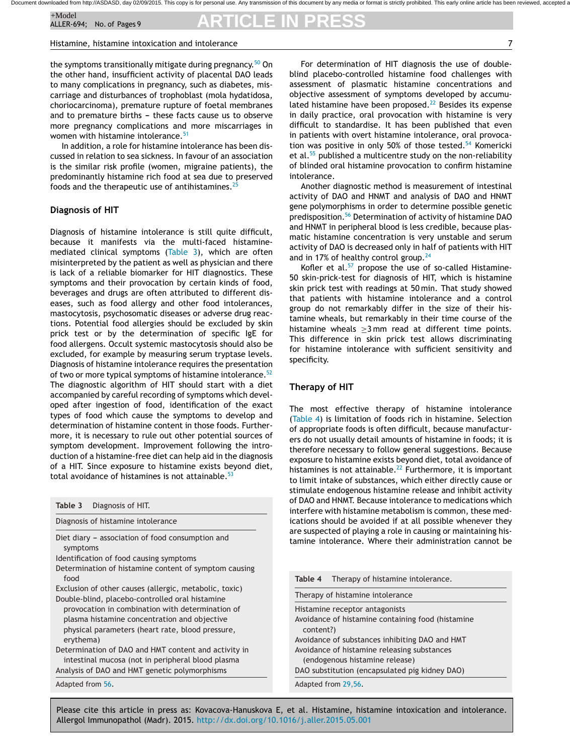### Histamine, histamine intoxication and intolerance 7

the symptoms transitionally mitigate during pregnancy.<sup>[50](#page-8-0)</sup> On the other hand, insufficient activity of placental DAO leads to many complications in pregnancy, such as diabetes, miscarriage and disturbances of trophoblast (mola hydatidosa, choriocarcinoma), premature rupture of foetal membranes and to premature births - these facts cause us to observe more pregnancy complications and more miscarriages in women with histamine intolerance.<sup>[51](#page-8-0)</sup>

In addition, a role for histamine intolerance has been discussed in relation to sea sickness. In favour of an association is the similar risk profile (women, migraine patients), the predominantly histamine rich food at sea due to preserved foods and the therapeutic use of antihistamines. $25$ 

### **Diagnosis of HIT**

Diagnosis of histamine intolerance is still quite difficult, because it manifests via the multi-faced histaminemediated clinical symptoms (Table 3), which are often misinterpreted by the patient as well as physician and there is lack of a reliable biomarker for HIT diagnostics. These symptoms and their provocation by certain kinds of food, beverages and drugs are often attributed to different diseases, such as food allergy and other food intolerances, mastocytosis, psychosomatic diseases or adverse drug reactions. Potential food allergies should be excluded by skin prick test or by the determination of specific IgE for food allergens. Occult systemic mastocytosis should also be excluded, for example by measuring serum tryptase levels. Diagnosis of histamine intolerance requires the presentation of two or more typical symptoms of histamine intolerance.<sup>[52](#page-8-0)</sup> The diagnostic algorithm of HIT should start with a diet accompanied by careful recording of symptoms which developed after ingestion of food, identification of the exact types of food which cause the symptoms to develop and determination of histamine content in those foods. Furthermore, it is necessary to rule out other potential sources of symptom development. Improvement following the introduction of a histamine-free diet can help aid in the diagnosis of a HIT. Since exposure to histamine exists beyond diet, total avoidance of histamines is not attainable.<sup>[53](#page-8-0)</sup>

| <b>Table 3</b> Diagnosis of HIT.                              |  |  |
|---------------------------------------------------------------|--|--|
| Diagnosis of histamine intolerance                            |  |  |
| Diet diary - association of food consumption and<br>symptoms  |  |  |
| Identification of food causing symptoms                       |  |  |
| Determination of histamine content of symptom causing<br>food |  |  |
| Exclusion of other causes (allergic, metabolic, toxic)        |  |  |
| Double-blind, placebo-controlled oral histamine               |  |  |
| provocation in combination with determination of              |  |  |
| plasma histamine concentration and objective                  |  |  |
| physical parameters (heart rate, blood pressure,<br>erythema) |  |  |
| Determination of DAO and HMT content and activity in          |  |  |
| intestinal mucosa (not in peripheral blood plasma             |  |  |
| Analysis of DAO and HMT genetic polymorphisms                 |  |  |
| Adapted from 56.                                              |  |  |
|                                                               |  |  |

For determination of HIT diagnosis the use of doubleblind placebo-controlled histamine food challenges with assessment of plasmatic histamine concentrations and objective assessment of symptoms developed by accumulated histamine have been proposed. $^{22}$  $^{22}$  $^{22}$  Besides its expense in daily practice, oral provocation with histamine is very difficult to standardise. It has been published that even in patients with overt histamine intolerance, oral provocation was positive in only 50% of those tested. $54$  Komericki et al.<sup>55</sup> published a multicentre study on the non-reliability of blinded oral histamine provocation to confirm histamine intolerance.

Another diagnostic method is measurement of intestinal activity of DAO and HNMT and analysis of DAO and HNMT gene polymorphisms in order to determine possible genetic predisposition.[56](#page-8-0) Determination of activity of histamine DAO and HNMT in peripheral blood is less credible, because plasmatic histamine concentration is very unstable and serum activity of DAO is decreased only in half of patients with HIT and in 17% of healthy control group. $24$ 

Kofler et al.<sup>[57](#page-8-0)</sup> propose the use of so-called Histamine-50 skin-prick-test for diagnosis of HIT, which is histamine skin prick test with readings at 50 min. That study showed that patients with histamine intolerance and a control group do not remarkably differ in the size of their histamine wheals, but remarkably in their time course of the histamine wheals > 3 mm read at different time points. This difference in skin prick test allows discriminating for histamine intolerance with sufficient sensitivity and specificity.

#### **Therapy of HIT**

The most effective therapy of histamine intolerance (Table 4) is limitation of foods rich in histamine. Selection of appropriate foods is often difficult, because manufacturers do not usually detail amounts of histamine in foods; it is therefore necessary to follow general suggestions. Because exposure to histamine exists beyond diet, total avoidance of histamines is not attainable. $^{22}$  $^{22}$  $^{22}$  Furthermore, it is important to limit intake of substances, which either directly cause or stimulate endogenous histamine release and inhibit activity of DAO and HNMT. Because intolerance to medications which interfere with histamine metabolism is common, these medications should be avoided if at all possible whenever they are suspected of playing a role in causing or maintaining histamine intolerance. Where their administration cannot be

| Table 4                                                        | Therapy of histamine intolerance. |  |
|----------------------------------------------------------------|-----------------------------------|--|
| Therapy of histamine intolerance                               |                                   |  |
|                                                                | Histamine receptor antagonists    |  |
| Avoidance of histamine containing food (histamine<br>content?) |                                   |  |
| Avoidance of substances inhibiting DAO and HMT                 |                                   |  |
| Avoidance of histamine releasing substances                    |                                   |  |
|                                                                | (endogenous histamine release)    |  |
| DAO substitution (encapsulated pig kidney DAO)                 |                                   |  |
|                                                                | Adapted from 29,56.               |  |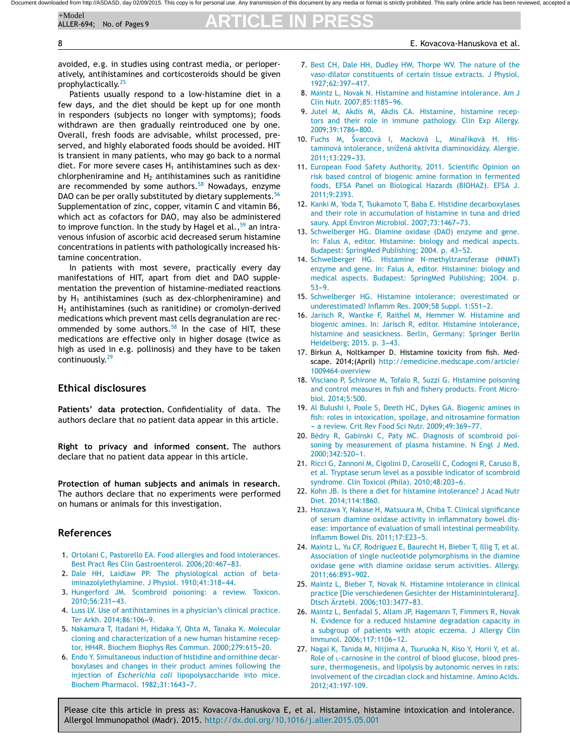<span id="page-7-0"></span>

avoided, e.g. in studies using contrast media, or perioperatively, antihistamines and corticosteroids should be given prophylactically.<sup>25</sup>

Patients usually respond to a low-histamine diet in a few days, and the diet should be kept up for one month in responders (subjects no longer with symptoms); foods withdrawn are then gradually reintroduced one by one. Overall, fresh foods are advisable, whilst processed, preserved, and highly elaborated foods should be avoided. HIT is transient in many patients, who may go back to a normal diet. For more severe cases  $H_1$  antihistamines such as dexchlorpheniramine and  $H_2$  antihistamines such as ranitidine are recommended by some authors. $58$  Nowadays, enzyme DAO can be per orally substituted by dietary supplements.<sup>[56](#page-8-0)</sup> Supplementation of zinc, copper, vitamin C and vitamin B6, which act as cofactors for DAO, may also be administered to improve function. In the study by Hagel et al.,  $59$  an intravenous infusion of ascorbic acid decreased serum histamine concentrations in patients with pathologically increased histamine concentration.

In patients with most severe, practically every day manifestations of HIT, apart from diet and DAO supplementation the prevention of histamine-mediated reactions by  $H_1$  antihistamines (such as dex-chlorpheniramine) and H2 antihistamines (such as ranitidine) or cromolyn-derived medications which prevent mast cells degranulation are recommended by some authors. $58$  In the case of HIT, these medications are effective only in higher dosage (twice as high as used in e.g. pollinosis) and they have to be taken continuously.<sup>[29](#page-8-0)</sup>

## **Ethical disclosures**

**Patients' data protection.** Confidentiality of data. The authors declare that no patient data appear in this article.

**Right to privacy and informed consent.** The authors declare that no patient data appear in this article.

**Protection of human subjects and animals in research.** The authors declare that no experiments were performed on humans or animals for this investigation.

## **References**

- 1. [Ortolani](http://refhub.elsevier.com/S0301-0546(15)00093-2/sbref0320) [C,](http://refhub.elsevier.com/S0301-0546(15)00093-2/sbref0320) [Pastorello](http://refhub.elsevier.com/S0301-0546(15)00093-2/sbref0320) [EA.](http://refhub.elsevier.com/S0301-0546(15)00093-2/sbref0320) [Food](http://refhub.elsevier.com/S0301-0546(15)00093-2/sbref0320) [allergies](http://refhub.elsevier.com/S0301-0546(15)00093-2/sbref0320) [and](http://refhub.elsevier.com/S0301-0546(15)00093-2/sbref0320) [food](http://refhub.elsevier.com/S0301-0546(15)00093-2/sbref0320) [intolerances.](http://refhub.elsevier.com/S0301-0546(15)00093-2/sbref0320) [Best](http://refhub.elsevier.com/S0301-0546(15)00093-2/sbref0320) [Pract](http://refhub.elsevier.com/S0301-0546(15)00093-2/sbref0320) [Res](http://refhub.elsevier.com/S0301-0546(15)00093-2/sbref0320) [Clin](http://refhub.elsevier.com/S0301-0546(15)00093-2/sbref0320) [Gastroenterol.](http://refhub.elsevier.com/S0301-0546(15)00093-2/sbref0320) [2006;20:467](http://refhub.elsevier.com/S0301-0546(15)00093-2/sbref0320)[-83.](http://refhub.elsevier.com/S0301-0546(15)00093-2/sbref0320)
- 2. [Dale](http://refhub.elsevier.com/S0301-0546(15)00093-2/sbref0325) [HH,](http://refhub.elsevier.com/S0301-0546(15)00093-2/sbref0325) [Laidlaw](http://refhub.elsevier.com/S0301-0546(15)00093-2/sbref0325) [PP.](http://refhub.elsevier.com/S0301-0546(15)00093-2/sbref0325) [The](http://refhub.elsevier.com/S0301-0546(15)00093-2/sbref0325) [physiological](http://refhub.elsevier.com/S0301-0546(15)00093-2/sbref0325) [action](http://refhub.elsevier.com/S0301-0546(15)00093-2/sbref0325) [of](http://refhub.elsevier.com/S0301-0546(15)00093-2/sbref0325) [beta](http://refhub.elsevier.com/S0301-0546(15)00093-2/sbref0325)[iminazolylethylamine.](http://refhub.elsevier.com/S0301-0546(15)00093-2/sbref0325) [J](http://refhub.elsevier.com/S0301-0546(15)00093-2/sbref0325) [Physiol.](http://refhub.elsevier.com/S0301-0546(15)00093-2/sbref0325) [1910;41:318](http://refhub.elsevier.com/S0301-0546(15)00093-2/sbref0325)[-44.](http://refhub.elsevier.com/S0301-0546(15)00093-2/sbref0325)
- 3. [Hungerford](http://refhub.elsevier.com/S0301-0546(15)00093-2/sbref0330) [JM.](http://refhub.elsevier.com/S0301-0546(15)00093-2/sbref0330) [Scombroid](http://refhub.elsevier.com/S0301-0546(15)00093-2/sbref0330) [poisoning:](http://refhub.elsevier.com/S0301-0546(15)00093-2/sbref0330) [a](http://refhub.elsevier.com/S0301-0546(15)00093-2/sbref0330) [review.](http://refhub.elsevier.com/S0301-0546(15)00093-2/sbref0330) [Toxicon.](http://refhub.elsevier.com/S0301-0546(15)00093-2/sbref0330) 2010;56:231-43.
- 4. [Luss](http://refhub.elsevier.com/S0301-0546(15)00093-2/sbref0335) [LV.](http://refhub.elsevier.com/S0301-0546(15)00093-2/sbref0335) [Use](http://refhub.elsevier.com/S0301-0546(15)00093-2/sbref0335) [of](http://refhub.elsevier.com/S0301-0546(15)00093-2/sbref0335) [antihistamines](http://refhub.elsevier.com/S0301-0546(15)00093-2/sbref0335) [in](http://refhub.elsevier.com/S0301-0546(15)00093-2/sbref0335) [a](http://refhub.elsevier.com/S0301-0546(15)00093-2/sbref0335) [physician's](http://refhub.elsevier.com/S0301-0546(15)00093-2/sbref0335) [clinical](http://refhub.elsevier.com/S0301-0546(15)00093-2/sbref0335) [practice.](http://refhub.elsevier.com/S0301-0546(15)00093-2/sbref0335) [Ter](http://refhub.elsevier.com/S0301-0546(15)00093-2/sbref0335) [Arkh.](http://refhub.elsevier.com/S0301-0546(15)00093-2/sbref0335) 2014;86:106-9.
- 5. [Nakamura](http://refhub.elsevier.com/S0301-0546(15)00093-2/sbref0340) [T,](http://refhub.elsevier.com/S0301-0546(15)00093-2/sbref0340) [Itadani](http://refhub.elsevier.com/S0301-0546(15)00093-2/sbref0340) [H,](http://refhub.elsevier.com/S0301-0546(15)00093-2/sbref0340) [Hidaka](http://refhub.elsevier.com/S0301-0546(15)00093-2/sbref0340) [Y,](http://refhub.elsevier.com/S0301-0546(15)00093-2/sbref0340) [Ohta](http://refhub.elsevier.com/S0301-0546(15)00093-2/sbref0340) [M,](http://refhub.elsevier.com/S0301-0546(15)00093-2/sbref0340) [Tanaka](http://refhub.elsevier.com/S0301-0546(15)00093-2/sbref0340) [K.](http://refhub.elsevier.com/S0301-0546(15)00093-2/sbref0340) [Molecular](http://refhub.elsevier.com/S0301-0546(15)00093-2/sbref0340) [cloning](http://refhub.elsevier.com/S0301-0546(15)00093-2/sbref0340) [and](http://refhub.elsevier.com/S0301-0546(15)00093-2/sbref0340) [characterization](http://refhub.elsevier.com/S0301-0546(15)00093-2/sbref0340) [of](http://refhub.elsevier.com/S0301-0546(15)00093-2/sbref0340) [a](http://refhub.elsevier.com/S0301-0546(15)00093-2/sbref0340) [new](http://refhub.elsevier.com/S0301-0546(15)00093-2/sbref0340) [human](http://refhub.elsevier.com/S0301-0546(15)00093-2/sbref0340) [histamine](http://refhub.elsevier.com/S0301-0546(15)00093-2/sbref0340) [recep](http://refhub.elsevier.com/S0301-0546(15)00093-2/sbref0340)[tor,](http://refhub.elsevier.com/S0301-0546(15)00093-2/sbref0340) [HH4R.](http://refhub.elsevier.com/S0301-0546(15)00093-2/sbref0340) [Biochem](http://refhub.elsevier.com/S0301-0546(15)00093-2/sbref0340) [Biophys](http://refhub.elsevier.com/S0301-0546(15)00093-2/sbref0340) [Res](http://refhub.elsevier.com/S0301-0546(15)00093-2/sbref0340) [Commun.](http://refhub.elsevier.com/S0301-0546(15)00093-2/sbref0340) 2000;279:615-20.
- 6. [Endo](http://refhub.elsevier.com/S0301-0546(15)00093-2/sbref0345) [Y.](http://refhub.elsevier.com/S0301-0546(15)00093-2/sbref0345) [Simultaneous](http://refhub.elsevier.com/S0301-0546(15)00093-2/sbref0345) [induction](http://refhub.elsevier.com/S0301-0546(15)00093-2/sbref0345) [of](http://refhub.elsevier.com/S0301-0546(15)00093-2/sbref0345) [histidine](http://refhub.elsevier.com/S0301-0546(15)00093-2/sbref0345) [and](http://refhub.elsevier.com/S0301-0546(15)00093-2/sbref0345) [ornithine](http://refhub.elsevier.com/S0301-0546(15)00093-2/sbref0345) [decar](http://refhub.elsevier.com/S0301-0546(15)00093-2/sbref0345)[boxylases](http://refhub.elsevier.com/S0301-0546(15)00093-2/sbref0345) [and](http://refhub.elsevier.com/S0301-0546(15)00093-2/sbref0345) [changes](http://refhub.elsevier.com/S0301-0546(15)00093-2/sbref0345) [in](http://refhub.elsevier.com/S0301-0546(15)00093-2/sbref0345) [their](http://refhub.elsevier.com/S0301-0546(15)00093-2/sbref0345) [product](http://refhub.elsevier.com/S0301-0546(15)00093-2/sbref0345) [amines](http://refhub.elsevier.com/S0301-0546(15)00093-2/sbref0345) [following](http://refhub.elsevier.com/S0301-0546(15)00093-2/sbref0345) [the](http://refhub.elsevier.com/S0301-0546(15)00093-2/sbref0345) [injection](http://refhub.elsevier.com/S0301-0546(15)00093-2/sbref0345) [of](http://refhub.elsevier.com/S0301-0546(15)00093-2/sbref0345) *[Escherichia](http://refhub.elsevier.com/S0301-0546(15)00093-2/sbref0345) [coli](http://refhub.elsevier.com/S0301-0546(15)00093-2/sbref0345)* [lipopolysaccharide](http://refhub.elsevier.com/S0301-0546(15)00093-2/sbref0345) [into](http://refhub.elsevier.com/S0301-0546(15)00093-2/sbref0345) [mice.](http://refhub.elsevier.com/S0301-0546(15)00093-2/sbref0345) [Biochem](http://refhub.elsevier.com/S0301-0546(15)00093-2/sbref0345) [Pharmacol.](http://refhub.elsevier.com/S0301-0546(15)00093-2/sbref0345) 1982;31:1643-7.
- 7. [Best](http://refhub.elsevier.com/S0301-0546(15)00093-2/sbref0350) [CH,](http://refhub.elsevier.com/S0301-0546(15)00093-2/sbref0350) [Dale](http://refhub.elsevier.com/S0301-0546(15)00093-2/sbref0350) [HH,](http://refhub.elsevier.com/S0301-0546(15)00093-2/sbref0350) [Dudley](http://refhub.elsevier.com/S0301-0546(15)00093-2/sbref0350) [HW,](http://refhub.elsevier.com/S0301-0546(15)00093-2/sbref0350) [Thorpe](http://refhub.elsevier.com/S0301-0546(15)00093-2/sbref0350) [WV.](http://refhub.elsevier.com/S0301-0546(15)00093-2/sbref0350) [The](http://refhub.elsevier.com/S0301-0546(15)00093-2/sbref0350) [nature](http://refhub.elsevier.com/S0301-0546(15)00093-2/sbref0350) [of](http://refhub.elsevier.com/S0301-0546(15)00093-2/sbref0350) [the](http://refhub.elsevier.com/S0301-0546(15)00093-2/sbref0350) [vaso-dilator](http://refhub.elsevier.com/S0301-0546(15)00093-2/sbref0350) [constituents](http://refhub.elsevier.com/S0301-0546(15)00093-2/sbref0350) [of](http://refhub.elsevier.com/S0301-0546(15)00093-2/sbref0350) [certain](http://refhub.elsevier.com/S0301-0546(15)00093-2/sbref0350) [tissue](http://refhub.elsevier.com/S0301-0546(15)00093-2/sbref0350) [extracts.](http://refhub.elsevier.com/S0301-0546(15)00093-2/sbref0350) [J](http://refhub.elsevier.com/S0301-0546(15)00093-2/sbref0350) [Physiol.](http://refhub.elsevier.com/S0301-0546(15)00093-2/sbref0350) 1927:62:397-417.
- 8. [Maintz](http://refhub.elsevier.com/S0301-0546(15)00093-2/sbref0355) [L,](http://refhub.elsevier.com/S0301-0546(15)00093-2/sbref0355) [Novak](http://refhub.elsevier.com/S0301-0546(15)00093-2/sbref0355) [N.](http://refhub.elsevier.com/S0301-0546(15)00093-2/sbref0355) [Histamine](http://refhub.elsevier.com/S0301-0546(15)00093-2/sbref0355) [and](http://refhub.elsevier.com/S0301-0546(15)00093-2/sbref0355) [histamine](http://refhub.elsevier.com/S0301-0546(15)00093-2/sbref0355) [intolerance.](http://refhub.elsevier.com/S0301-0546(15)00093-2/sbref0355) [Am](http://refhub.elsevier.com/S0301-0546(15)00093-2/sbref0355) [J](http://refhub.elsevier.com/S0301-0546(15)00093-2/sbref0355) [Clin](http://refhub.elsevier.com/S0301-0546(15)00093-2/sbref0355) [Nutr.](http://refhub.elsevier.com/S0301-0546(15)00093-2/sbref0355) 2007;85:1185-96.
- 9. [Jutel](http://refhub.elsevier.com/S0301-0546(15)00093-2/sbref0360) [M,](http://refhub.elsevier.com/S0301-0546(15)00093-2/sbref0360) [Akdis](http://refhub.elsevier.com/S0301-0546(15)00093-2/sbref0360) [M,](http://refhub.elsevier.com/S0301-0546(15)00093-2/sbref0360) [Akdis](http://refhub.elsevier.com/S0301-0546(15)00093-2/sbref0360) [CA.](http://refhub.elsevier.com/S0301-0546(15)00093-2/sbref0360) [Histamine,](http://refhub.elsevier.com/S0301-0546(15)00093-2/sbref0360) [histamine](http://refhub.elsevier.com/S0301-0546(15)00093-2/sbref0360) [recep](http://refhub.elsevier.com/S0301-0546(15)00093-2/sbref0360)[tors](http://refhub.elsevier.com/S0301-0546(15)00093-2/sbref0360) [and](http://refhub.elsevier.com/S0301-0546(15)00093-2/sbref0360) [their](http://refhub.elsevier.com/S0301-0546(15)00093-2/sbref0360) [role](http://refhub.elsevier.com/S0301-0546(15)00093-2/sbref0360) [in](http://refhub.elsevier.com/S0301-0546(15)00093-2/sbref0360) [immune](http://refhub.elsevier.com/S0301-0546(15)00093-2/sbref0360) [pathology.](http://refhub.elsevier.com/S0301-0546(15)00093-2/sbref0360) [Clin](http://refhub.elsevier.com/S0301-0546(15)00093-2/sbref0360) [Exp](http://refhub.elsevier.com/S0301-0546(15)00093-2/sbref0360) [Allergy.](http://refhub.elsevier.com/S0301-0546(15)00093-2/sbref0360) [2009;39:1786-](http://refhub.elsevier.com/S0301-0546(15)00093-2/sbref0360)[800.](http://refhub.elsevier.com/S0301-0546(15)00093-2/sbref0360)
- 10. [Fuchs](http://refhub.elsevier.com/S0301-0546(15)00093-2/sbref0365) [M,](http://refhub.elsevier.com/S0301-0546(15)00093-2/sbref0365) Švarcová [I,](http://refhub.elsevier.com/S0301-0546(15)00093-2/sbref0365) [Macková](http://refhub.elsevier.com/S0301-0546(15)00093-2/sbref0365) [L,](http://refhub.elsevier.com/S0301-0546(15)00093-2/sbref0365) Minaříková [H.](http://refhub.elsevier.com/S0301-0546(15)00093-2/sbref0365) [His](http://refhub.elsevier.com/S0301-0546(15)00093-2/sbref0365)[taminová](http://refhub.elsevier.com/S0301-0546(15)00093-2/sbref0365) [intolerance,](http://refhub.elsevier.com/S0301-0546(15)00093-2/sbref0365) snížená [aktivita](http://refhub.elsevier.com/S0301-0546(15)00093-2/sbref0365) [diaminoxidázy.](http://refhub.elsevier.com/S0301-0546(15)00093-2/sbref0365) [Alergie.](http://refhub.elsevier.com/S0301-0546(15)00093-2/sbref0365)  $2011:13:229-33.$  $2011:13:229-33.$
- 11. [European](http://refhub.elsevier.com/S0301-0546(15)00093-2/sbref0370) [Food](http://refhub.elsevier.com/S0301-0546(15)00093-2/sbref0370) [Safety](http://refhub.elsevier.com/S0301-0546(15)00093-2/sbref0370) [Authority,](http://refhub.elsevier.com/S0301-0546(15)00093-2/sbref0370) [2011.](http://refhub.elsevier.com/S0301-0546(15)00093-2/sbref0370) [Scientific](http://refhub.elsevier.com/S0301-0546(15)00093-2/sbref0370) [Opinion](http://refhub.elsevier.com/S0301-0546(15)00093-2/sbref0370) [on](http://refhub.elsevier.com/S0301-0546(15)00093-2/sbref0370) [risk](http://refhub.elsevier.com/S0301-0546(15)00093-2/sbref0370) [based](http://refhub.elsevier.com/S0301-0546(15)00093-2/sbref0370) [control](http://refhub.elsevier.com/S0301-0546(15)00093-2/sbref0370) [of](http://refhub.elsevier.com/S0301-0546(15)00093-2/sbref0370) [biogenic](http://refhub.elsevier.com/S0301-0546(15)00093-2/sbref0370) [amine](http://refhub.elsevier.com/S0301-0546(15)00093-2/sbref0370) [formation](http://refhub.elsevier.com/S0301-0546(15)00093-2/sbref0370) [in](http://refhub.elsevier.com/S0301-0546(15)00093-2/sbref0370) [fermented](http://refhub.elsevier.com/S0301-0546(15)00093-2/sbref0370) [foods,](http://refhub.elsevier.com/S0301-0546(15)00093-2/sbref0370) [EFSA](http://refhub.elsevier.com/S0301-0546(15)00093-2/sbref0370) [Panel](http://refhub.elsevier.com/S0301-0546(15)00093-2/sbref0370) [on](http://refhub.elsevier.com/S0301-0546(15)00093-2/sbref0370) [Biological](http://refhub.elsevier.com/S0301-0546(15)00093-2/sbref0370) [Hazards](http://refhub.elsevier.com/S0301-0546(15)00093-2/sbref0370) [\(BIOHAZ\).](http://refhub.elsevier.com/S0301-0546(15)00093-2/sbref0370) [EFSA](http://refhub.elsevier.com/S0301-0546(15)00093-2/sbref0370) [J.](http://refhub.elsevier.com/S0301-0546(15)00093-2/sbref0370) [2011;9:2393.](http://refhub.elsevier.com/S0301-0546(15)00093-2/sbref0370)
- 12. [Kanki](http://refhub.elsevier.com/S0301-0546(15)00093-2/sbref0375) [M,](http://refhub.elsevier.com/S0301-0546(15)00093-2/sbref0375) [Yoda](http://refhub.elsevier.com/S0301-0546(15)00093-2/sbref0375) [T,](http://refhub.elsevier.com/S0301-0546(15)00093-2/sbref0375) [Tsukamoto](http://refhub.elsevier.com/S0301-0546(15)00093-2/sbref0375) [T,](http://refhub.elsevier.com/S0301-0546(15)00093-2/sbref0375) [Baba](http://refhub.elsevier.com/S0301-0546(15)00093-2/sbref0375) [E.](http://refhub.elsevier.com/S0301-0546(15)00093-2/sbref0375) [Histidine](http://refhub.elsevier.com/S0301-0546(15)00093-2/sbref0375) [decarboxylases](http://refhub.elsevier.com/S0301-0546(15)00093-2/sbref0375) [and](http://refhub.elsevier.com/S0301-0546(15)00093-2/sbref0375) [their](http://refhub.elsevier.com/S0301-0546(15)00093-2/sbref0375) [role](http://refhub.elsevier.com/S0301-0546(15)00093-2/sbref0375) [in](http://refhub.elsevier.com/S0301-0546(15)00093-2/sbref0375) [accumulation](http://refhub.elsevier.com/S0301-0546(15)00093-2/sbref0375) [of](http://refhub.elsevier.com/S0301-0546(15)00093-2/sbref0375) [histamine](http://refhub.elsevier.com/S0301-0546(15)00093-2/sbref0375) [in](http://refhub.elsevier.com/S0301-0546(15)00093-2/sbref0375) [tuna](http://refhub.elsevier.com/S0301-0546(15)00093-2/sbref0375) [and](http://refhub.elsevier.com/S0301-0546(15)00093-2/sbref0375) [dried](http://refhub.elsevier.com/S0301-0546(15)00093-2/sbref0375) [saury.](http://refhub.elsevier.com/S0301-0546(15)00093-2/sbref0375) [Appl](http://refhub.elsevier.com/S0301-0546(15)00093-2/sbref0375) [Environ](http://refhub.elsevier.com/S0301-0546(15)00093-2/sbref0375) [Microbiol.](http://refhub.elsevier.com/S0301-0546(15)00093-2/sbref0375) 2007;73:1467-73.
- 13. [Schwelberger](http://refhub.elsevier.com/S0301-0546(15)00093-2/sbref0380) [HG.](http://refhub.elsevier.com/S0301-0546(15)00093-2/sbref0380) [Diamine](http://refhub.elsevier.com/S0301-0546(15)00093-2/sbref0380) [oxidase](http://refhub.elsevier.com/S0301-0546(15)00093-2/sbref0380) [\(DAO\)](http://refhub.elsevier.com/S0301-0546(15)00093-2/sbref0380) [enzyme](http://refhub.elsevier.com/S0301-0546(15)00093-2/sbref0380) [and](http://refhub.elsevier.com/S0301-0546(15)00093-2/sbref0380) [gene.](http://refhub.elsevier.com/S0301-0546(15)00093-2/sbref0380) [In:](http://refhub.elsevier.com/S0301-0546(15)00093-2/sbref0380) [Falus](http://refhub.elsevier.com/S0301-0546(15)00093-2/sbref0380) [A,](http://refhub.elsevier.com/S0301-0546(15)00093-2/sbref0380) [editor.](http://refhub.elsevier.com/S0301-0546(15)00093-2/sbref0380) [Histamine:](http://refhub.elsevier.com/S0301-0546(15)00093-2/sbref0380) [biology](http://refhub.elsevier.com/S0301-0546(15)00093-2/sbref0380) [and](http://refhub.elsevier.com/S0301-0546(15)00093-2/sbref0380) [medical](http://refhub.elsevier.com/S0301-0546(15)00093-2/sbref0380) [aspects.](http://refhub.elsevier.com/S0301-0546(15)00093-2/sbref0380) [Budapest:](http://refhub.elsevier.com/S0301-0546(15)00093-2/sbref0380) [SpringMed](http://refhub.elsevier.com/S0301-0546(15)00093-2/sbref0380) [Publishing;](http://refhub.elsevier.com/S0301-0546(15)00093-2/sbref0380) [2004.](http://refhub.elsevier.com/S0301-0546(15)00093-2/sbref0380) [p.](http://refhub.elsevier.com/S0301-0546(15)00093-2/sbref0380) 43-52.
- 14. [Schwelberger](http://refhub.elsevier.com/S0301-0546(15)00093-2/sbref0385) [HG.](http://refhub.elsevier.com/S0301-0546(15)00093-2/sbref0385) [Histamine](http://refhub.elsevier.com/S0301-0546(15)00093-2/sbref0385) [N-methyltransferase](http://refhub.elsevier.com/S0301-0546(15)00093-2/sbref0385) [\(HNMT\)](http://refhub.elsevier.com/S0301-0546(15)00093-2/sbref0385) [enzyme](http://refhub.elsevier.com/S0301-0546(15)00093-2/sbref0385) [and](http://refhub.elsevier.com/S0301-0546(15)00093-2/sbref0385) [gene.](http://refhub.elsevier.com/S0301-0546(15)00093-2/sbref0385) [In:](http://refhub.elsevier.com/S0301-0546(15)00093-2/sbref0385) [Falus](http://refhub.elsevier.com/S0301-0546(15)00093-2/sbref0385) [A,](http://refhub.elsevier.com/S0301-0546(15)00093-2/sbref0385) [editor.](http://refhub.elsevier.com/S0301-0546(15)00093-2/sbref0385) [Histamine:](http://refhub.elsevier.com/S0301-0546(15)00093-2/sbref0385) [biology](http://refhub.elsevier.com/S0301-0546(15)00093-2/sbref0385) [and](http://refhub.elsevier.com/S0301-0546(15)00093-2/sbref0385) [medical](http://refhub.elsevier.com/S0301-0546(15)00093-2/sbref0385) [aspects.](http://refhub.elsevier.com/S0301-0546(15)00093-2/sbref0385) [Budapest:](http://refhub.elsevier.com/S0301-0546(15)00093-2/sbref0385) [SpringMed](http://refhub.elsevier.com/S0301-0546(15)00093-2/sbref0385) [Publishing;](http://refhub.elsevier.com/S0301-0546(15)00093-2/sbref0385) [2004.](http://refhub.elsevier.com/S0301-0546(15)00093-2/sbref0385) [p.](http://refhub.elsevier.com/S0301-0546(15)00093-2/sbref0385)  $53 - 9.$
- 15. [Schwelberger](http://refhub.elsevier.com/S0301-0546(15)00093-2/sbref0390) [HG.](http://refhub.elsevier.com/S0301-0546(15)00093-2/sbref0390) [Histamine](http://refhub.elsevier.com/S0301-0546(15)00093-2/sbref0390) [intolerance:](http://refhub.elsevier.com/S0301-0546(15)00093-2/sbref0390) [overestimated](http://refhub.elsevier.com/S0301-0546(15)00093-2/sbref0390) [or](http://refhub.elsevier.com/S0301-0546(15)00093-2/sbref0390) [underestimated?](http://refhub.elsevier.com/S0301-0546(15)00093-2/sbref0390) [Inflamm](http://refhub.elsevier.com/S0301-0546(15)00093-2/sbref0390) [Res.](http://refhub.elsevier.com/S0301-0546(15)00093-2/sbref0390) [2009;58](http://refhub.elsevier.com/S0301-0546(15)00093-2/sbref0390) [Suppl.](http://refhub.elsevier.com/S0301-0546(15)00093-2/sbref0390) 1:S51-2.
- 16. [Jarisch](http://refhub.elsevier.com/S0301-0546(15)00093-2/sbref0395) [R,](http://refhub.elsevier.com/S0301-0546(15)00093-2/sbref0395) [Wantke](http://refhub.elsevier.com/S0301-0546(15)00093-2/sbref0395) [F,](http://refhub.elsevier.com/S0301-0546(15)00093-2/sbref0395) [Raithel](http://refhub.elsevier.com/S0301-0546(15)00093-2/sbref0395) [M,](http://refhub.elsevier.com/S0301-0546(15)00093-2/sbref0395) [Hemmer](http://refhub.elsevier.com/S0301-0546(15)00093-2/sbref0395) [W.](http://refhub.elsevier.com/S0301-0546(15)00093-2/sbref0395) [Histamine](http://refhub.elsevier.com/S0301-0546(15)00093-2/sbref0395) [and](http://refhub.elsevier.com/S0301-0546(15)00093-2/sbref0395) [biogenic](http://refhub.elsevier.com/S0301-0546(15)00093-2/sbref0395) [amines.](http://refhub.elsevier.com/S0301-0546(15)00093-2/sbref0395) [In:](http://refhub.elsevier.com/S0301-0546(15)00093-2/sbref0395) [Jarisch](http://refhub.elsevier.com/S0301-0546(15)00093-2/sbref0395) [R,](http://refhub.elsevier.com/S0301-0546(15)00093-2/sbref0395) [editor.](http://refhub.elsevier.com/S0301-0546(15)00093-2/sbref0395) [Histamine](http://refhub.elsevier.com/S0301-0546(15)00093-2/sbref0395) [intolerance,](http://refhub.elsevier.com/S0301-0546(15)00093-2/sbref0395) [histamine](http://refhub.elsevier.com/S0301-0546(15)00093-2/sbref0395) [and](http://refhub.elsevier.com/S0301-0546(15)00093-2/sbref0395) [seasickness.](http://refhub.elsevier.com/S0301-0546(15)00093-2/sbref0395) [Berlin,](http://refhub.elsevier.com/S0301-0546(15)00093-2/sbref0395) [Germany:](http://refhub.elsevier.com/S0301-0546(15)00093-2/sbref0395) [Springer](http://refhub.elsevier.com/S0301-0546(15)00093-2/sbref0395) [Berlin](http://refhub.elsevier.com/S0301-0546(15)00093-2/sbref0395) [Heidelberg;](http://refhub.elsevier.com/S0301-0546(15)00093-2/sbref0395) [2015.](http://refhub.elsevier.com/S0301-0546(15)00093-2/sbref0395) [p.](http://refhub.elsevier.com/S0301-0546(15)00093-2/sbref0395) 3-43.
- 17. Birkun A, Noltkamper D. Histamine toxicity from fish. Medscape. 2014;(April) [http://emedicine.medscape.com/article/](http://emedicine.medscape.com/article/1009464-overview) [1009464-overview](http://emedicine.medscape.com/article/1009464-overview)
- 18. [Visciano](http://refhub.elsevier.com/S0301-0546(15)00093-2/sbref0405) [P,](http://refhub.elsevier.com/S0301-0546(15)00093-2/sbref0405) [Schirone](http://refhub.elsevier.com/S0301-0546(15)00093-2/sbref0405) [M,](http://refhub.elsevier.com/S0301-0546(15)00093-2/sbref0405) [Tofalo](http://refhub.elsevier.com/S0301-0546(15)00093-2/sbref0405) [R,](http://refhub.elsevier.com/S0301-0546(15)00093-2/sbref0405) [Suzzi](http://refhub.elsevier.com/S0301-0546(15)00093-2/sbref0405) [G.](http://refhub.elsevier.com/S0301-0546(15)00093-2/sbref0405) [Histamine](http://refhub.elsevier.com/S0301-0546(15)00093-2/sbref0405) [poisoning](http://refhub.elsevier.com/S0301-0546(15)00093-2/sbref0405) [and](http://refhub.elsevier.com/S0301-0546(15)00093-2/sbref0405) [control](http://refhub.elsevier.com/S0301-0546(15)00093-2/sbref0405) [measures](http://refhub.elsevier.com/S0301-0546(15)00093-2/sbref0405) [in](http://refhub.elsevier.com/S0301-0546(15)00093-2/sbref0405) [fish](http://refhub.elsevier.com/S0301-0546(15)00093-2/sbref0405) [and](http://refhub.elsevier.com/S0301-0546(15)00093-2/sbref0405) [fishery](http://refhub.elsevier.com/S0301-0546(15)00093-2/sbref0405) [products.](http://refhub.elsevier.com/S0301-0546(15)00093-2/sbref0405) [Front](http://refhub.elsevier.com/S0301-0546(15)00093-2/sbref0405) [Micro](http://refhub.elsevier.com/S0301-0546(15)00093-2/sbref0405)[biol.](http://refhub.elsevier.com/S0301-0546(15)00093-2/sbref0405) [2014;5:500.](http://refhub.elsevier.com/S0301-0546(15)00093-2/sbref0405)
- 19. [Al](http://refhub.elsevier.com/S0301-0546(15)00093-2/sbref0410) [Bulushi](http://refhub.elsevier.com/S0301-0546(15)00093-2/sbref0410) [I,](http://refhub.elsevier.com/S0301-0546(15)00093-2/sbref0410) [Poole](http://refhub.elsevier.com/S0301-0546(15)00093-2/sbref0410) [S,](http://refhub.elsevier.com/S0301-0546(15)00093-2/sbref0410) [Deeth](http://refhub.elsevier.com/S0301-0546(15)00093-2/sbref0410) [HC,](http://refhub.elsevier.com/S0301-0546(15)00093-2/sbref0410) [Dykes](http://refhub.elsevier.com/S0301-0546(15)00093-2/sbref0410) [GA.](http://refhub.elsevier.com/S0301-0546(15)00093-2/sbref0410) [Biogenic](http://refhub.elsevier.com/S0301-0546(15)00093-2/sbref0410) [amines](http://refhub.elsevier.com/S0301-0546(15)00093-2/sbref0410) [in](http://refhub.elsevier.com/S0301-0546(15)00093-2/sbref0410) [fish:](http://refhub.elsevier.com/S0301-0546(15)00093-2/sbref0410) [roles](http://refhub.elsevier.com/S0301-0546(15)00093-2/sbref0410) [in](http://refhub.elsevier.com/S0301-0546(15)00093-2/sbref0410) [intoxication,](http://refhub.elsevier.com/S0301-0546(15)00093-2/sbref0410) [spoilage,](http://refhub.elsevier.com/S0301-0546(15)00093-2/sbref0410) [and](http://refhub.elsevier.com/S0301-0546(15)00093-2/sbref0410) [nitrosamine](http://refhub.elsevier.com/S0301-0546(15)00093-2/sbref0410) [formation](http://refhub.elsevier.com/S0301-0546(15)00093-2/sbref0410) - [a](http://refhub.elsevier.com/S0301-0546(15)00093-2/sbref0410) [review.](http://refhub.elsevier.com/S0301-0546(15)00093-2/sbref0410) [Crit](http://refhub.elsevier.com/S0301-0546(15)00093-2/sbref0410) [Rev](http://refhub.elsevier.com/S0301-0546(15)00093-2/sbref0410) [Food](http://refhub.elsevier.com/S0301-0546(15)00093-2/sbref0410) [Sci](http://refhub.elsevier.com/S0301-0546(15)00093-2/sbref0410) [Nutr.](http://refhub.elsevier.com/S0301-0546(15)00093-2/sbref0410) 2009;49:369-77.
- 20. [Bédry](http://refhub.elsevier.com/S0301-0546(15)00093-2/sbref0415) [R,](http://refhub.elsevier.com/S0301-0546(15)00093-2/sbref0415) [Gabinski](http://refhub.elsevier.com/S0301-0546(15)00093-2/sbref0415) [C,](http://refhub.elsevier.com/S0301-0546(15)00093-2/sbref0415) [Paty](http://refhub.elsevier.com/S0301-0546(15)00093-2/sbref0415) [MC.](http://refhub.elsevier.com/S0301-0546(15)00093-2/sbref0415) [Diagnosis](http://refhub.elsevier.com/S0301-0546(15)00093-2/sbref0415) [of](http://refhub.elsevier.com/S0301-0546(15)00093-2/sbref0415) [scombroid](http://refhub.elsevier.com/S0301-0546(15)00093-2/sbref0415) [poi](http://refhub.elsevier.com/S0301-0546(15)00093-2/sbref0415)[soning](http://refhub.elsevier.com/S0301-0546(15)00093-2/sbref0415) [by](http://refhub.elsevier.com/S0301-0546(15)00093-2/sbref0415) [measurement](http://refhub.elsevier.com/S0301-0546(15)00093-2/sbref0415) [of](http://refhub.elsevier.com/S0301-0546(15)00093-2/sbref0415) [plasma](http://refhub.elsevier.com/S0301-0546(15)00093-2/sbref0415) [histamine.](http://refhub.elsevier.com/S0301-0546(15)00093-2/sbref0415) [N](http://refhub.elsevier.com/S0301-0546(15)00093-2/sbref0415) [Engl](http://refhub.elsevier.com/S0301-0546(15)00093-2/sbref0415) [J](http://refhub.elsevier.com/S0301-0546(15)00093-2/sbref0415) [Med.](http://refhub.elsevier.com/S0301-0546(15)00093-2/sbref0415)  $2000:342:520-1.$
- 21. [Ricci](http://refhub.elsevier.com/S0301-0546(15)00093-2/sbref0420) [G,](http://refhub.elsevier.com/S0301-0546(15)00093-2/sbref0420) [Zannoni](http://refhub.elsevier.com/S0301-0546(15)00093-2/sbref0420) [M,](http://refhub.elsevier.com/S0301-0546(15)00093-2/sbref0420) [Cigolini](http://refhub.elsevier.com/S0301-0546(15)00093-2/sbref0420) [D,](http://refhub.elsevier.com/S0301-0546(15)00093-2/sbref0420) [Caroselli](http://refhub.elsevier.com/S0301-0546(15)00093-2/sbref0420) [C,](http://refhub.elsevier.com/S0301-0546(15)00093-2/sbref0420) [Codogni](http://refhub.elsevier.com/S0301-0546(15)00093-2/sbref0420) [R,](http://refhub.elsevier.com/S0301-0546(15)00093-2/sbref0420) [Caruso](http://refhub.elsevier.com/S0301-0546(15)00093-2/sbref0420) [B,](http://refhub.elsevier.com/S0301-0546(15)00093-2/sbref0420) [et](http://refhub.elsevier.com/S0301-0546(15)00093-2/sbref0420) [al.](http://refhub.elsevier.com/S0301-0546(15)00093-2/sbref0420) [Tryptase](http://refhub.elsevier.com/S0301-0546(15)00093-2/sbref0420) [serum](http://refhub.elsevier.com/S0301-0546(15)00093-2/sbref0420) [level](http://refhub.elsevier.com/S0301-0546(15)00093-2/sbref0420) [as](http://refhub.elsevier.com/S0301-0546(15)00093-2/sbref0420) [a](http://refhub.elsevier.com/S0301-0546(15)00093-2/sbref0420) [possible](http://refhub.elsevier.com/S0301-0546(15)00093-2/sbref0420) [indicator](http://refhub.elsevier.com/S0301-0546(15)00093-2/sbref0420) [of](http://refhub.elsevier.com/S0301-0546(15)00093-2/sbref0420) [scombroid](http://refhub.elsevier.com/S0301-0546(15)00093-2/sbref0420) [syndrome.](http://refhub.elsevier.com/S0301-0546(15)00093-2/sbref0420) [Clin](http://refhub.elsevier.com/S0301-0546(15)00093-2/sbref0420) [Toxicol](http://refhub.elsevier.com/S0301-0546(15)00093-2/sbref0420) [\(Phila\).](http://refhub.elsevier.com/S0301-0546(15)00093-2/sbref0420) 2010;48:203-6.
- 22. [Kohn](http://refhub.elsevier.com/S0301-0546(15)00093-2/sbref0425) [JB.](http://refhub.elsevier.com/S0301-0546(15)00093-2/sbref0425) [Is](http://refhub.elsevier.com/S0301-0546(15)00093-2/sbref0425) [there](http://refhub.elsevier.com/S0301-0546(15)00093-2/sbref0425) [a](http://refhub.elsevier.com/S0301-0546(15)00093-2/sbref0425) [diet](http://refhub.elsevier.com/S0301-0546(15)00093-2/sbref0425) [for](http://refhub.elsevier.com/S0301-0546(15)00093-2/sbref0425) [histamine](http://refhub.elsevier.com/S0301-0546(15)00093-2/sbref0425) [intolerance?](http://refhub.elsevier.com/S0301-0546(15)00093-2/sbref0425) [J](http://refhub.elsevier.com/S0301-0546(15)00093-2/sbref0425) [Acad](http://refhub.elsevier.com/S0301-0546(15)00093-2/sbref0425) [Nutr](http://refhub.elsevier.com/S0301-0546(15)00093-2/sbref0425) [Diet.](http://refhub.elsevier.com/S0301-0546(15)00093-2/sbref0425) [2014;114:1860.](http://refhub.elsevier.com/S0301-0546(15)00093-2/sbref0425)
- 23. [Honzawa](http://refhub.elsevier.com/S0301-0546(15)00093-2/sbref0430) [Y,](http://refhub.elsevier.com/S0301-0546(15)00093-2/sbref0430) [Nakase](http://refhub.elsevier.com/S0301-0546(15)00093-2/sbref0430) [H,](http://refhub.elsevier.com/S0301-0546(15)00093-2/sbref0430) [Matsuura](http://refhub.elsevier.com/S0301-0546(15)00093-2/sbref0430) [M,](http://refhub.elsevier.com/S0301-0546(15)00093-2/sbref0430) [Chiba](http://refhub.elsevier.com/S0301-0546(15)00093-2/sbref0430) [T.](http://refhub.elsevier.com/S0301-0546(15)00093-2/sbref0430) [Clinical](http://refhub.elsevier.com/S0301-0546(15)00093-2/sbref0430) [significance](http://refhub.elsevier.com/S0301-0546(15)00093-2/sbref0430) [of](http://refhub.elsevier.com/S0301-0546(15)00093-2/sbref0430) [serum](http://refhub.elsevier.com/S0301-0546(15)00093-2/sbref0430) [diamine](http://refhub.elsevier.com/S0301-0546(15)00093-2/sbref0430) [oxidase](http://refhub.elsevier.com/S0301-0546(15)00093-2/sbref0430) [activity](http://refhub.elsevier.com/S0301-0546(15)00093-2/sbref0430) [in](http://refhub.elsevier.com/S0301-0546(15)00093-2/sbref0430) [inflammatory](http://refhub.elsevier.com/S0301-0546(15)00093-2/sbref0430) [bowel](http://refhub.elsevier.com/S0301-0546(15)00093-2/sbref0430) [dis](http://refhub.elsevier.com/S0301-0546(15)00093-2/sbref0430)[ease:](http://refhub.elsevier.com/S0301-0546(15)00093-2/sbref0430) [importance](http://refhub.elsevier.com/S0301-0546(15)00093-2/sbref0430) [of](http://refhub.elsevier.com/S0301-0546(15)00093-2/sbref0430) [evaluation](http://refhub.elsevier.com/S0301-0546(15)00093-2/sbref0430) [of](http://refhub.elsevier.com/S0301-0546(15)00093-2/sbref0430) [small](http://refhub.elsevier.com/S0301-0546(15)00093-2/sbref0430) [intestinal](http://refhub.elsevier.com/S0301-0546(15)00093-2/sbref0430) [permeability.](http://refhub.elsevier.com/S0301-0546(15)00093-2/sbref0430) [Inflamm](http://refhub.elsevier.com/S0301-0546(15)00093-2/sbref0430) [Bowel](http://refhub.elsevier.com/S0301-0546(15)00093-2/sbref0430) [Dis.](http://refhub.elsevier.com/S0301-0546(15)00093-2/sbref0430) 2011;17:E23-5.
- 24. [Maintz](http://refhub.elsevier.com/S0301-0546(15)00093-2/sbref0435) [L,](http://refhub.elsevier.com/S0301-0546(15)00093-2/sbref0435) [Yu](http://refhub.elsevier.com/S0301-0546(15)00093-2/sbref0435) [CF,](http://refhub.elsevier.com/S0301-0546(15)00093-2/sbref0435) [Rodríguez](http://refhub.elsevier.com/S0301-0546(15)00093-2/sbref0435) [E,](http://refhub.elsevier.com/S0301-0546(15)00093-2/sbref0435) [Baurecht](http://refhub.elsevier.com/S0301-0546(15)00093-2/sbref0435) [H,](http://refhub.elsevier.com/S0301-0546(15)00093-2/sbref0435) [Bieber](http://refhub.elsevier.com/S0301-0546(15)00093-2/sbref0435) [T,](http://refhub.elsevier.com/S0301-0546(15)00093-2/sbref0435) [Illig](http://refhub.elsevier.com/S0301-0546(15)00093-2/sbref0435) [T,](http://refhub.elsevier.com/S0301-0546(15)00093-2/sbref0435) [et](http://refhub.elsevier.com/S0301-0546(15)00093-2/sbref0435) [al.](http://refhub.elsevier.com/S0301-0546(15)00093-2/sbref0435) [Association](http://refhub.elsevier.com/S0301-0546(15)00093-2/sbref0435) [of](http://refhub.elsevier.com/S0301-0546(15)00093-2/sbref0435) [single](http://refhub.elsevier.com/S0301-0546(15)00093-2/sbref0435) [nucleotide](http://refhub.elsevier.com/S0301-0546(15)00093-2/sbref0435) [polymorphisms](http://refhub.elsevier.com/S0301-0546(15)00093-2/sbref0435) [in](http://refhub.elsevier.com/S0301-0546(15)00093-2/sbref0435) [the](http://refhub.elsevier.com/S0301-0546(15)00093-2/sbref0435) [diamine](http://refhub.elsevier.com/S0301-0546(15)00093-2/sbref0435) [oxidase](http://refhub.elsevier.com/S0301-0546(15)00093-2/sbref0435) [gene](http://refhub.elsevier.com/S0301-0546(15)00093-2/sbref0435) [with](http://refhub.elsevier.com/S0301-0546(15)00093-2/sbref0435) [diamine](http://refhub.elsevier.com/S0301-0546(15)00093-2/sbref0435) [oxidase](http://refhub.elsevier.com/S0301-0546(15)00093-2/sbref0435) [serum](http://refhub.elsevier.com/S0301-0546(15)00093-2/sbref0435) [activities.](http://refhub.elsevier.com/S0301-0546(15)00093-2/sbref0435) [Allergy.](http://refhub.elsevier.com/S0301-0546(15)00093-2/sbref0435) 2011:66:893-902.
- 25. [Maintz](http://refhub.elsevier.com/S0301-0546(15)00093-2/sbref0440) [L,](http://refhub.elsevier.com/S0301-0546(15)00093-2/sbref0440) [Bieber](http://refhub.elsevier.com/S0301-0546(15)00093-2/sbref0440) [T,](http://refhub.elsevier.com/S0301-0546(15)00093-2/sbref0440) [Novak](http://refhub.elsevier.com/S0301-0546(15)00093-2/sbref0440) [N.](http://refhub.elsevier.com/S0301-0546(15)00093-2/sbref0440) [Histamine](http://refhub.elsevier.com/S0301-0546(15)00093-2/sbref0440) [intolerance](http://refhub.elsevier.com/S0301-0546(15)00093-2/sbref0440) [in](http://refhub.elsevier.com/S0301-0546(15)00093-2/sbref0440) [clinical](http://refhub.elsevier.com/S0301-0546(15)00093-2/sbref0440) [practice](http://refhub.elsevier.com/S0301-0546(15)00093-2/sbref0440) [\[Die](http://refhub.elsevier.com/S0301-0546(15)00093-2/sbref0440) [verschiedenen](http://refhub.elsevier.com/S0301-0546(15)00093-2/sbref0440) [Gesichter](http://refhub.elsevier.com/S0301-0546(15)00093-2/sbref0440) [der](http://refhub.elsevier.com/S0301-0546(15)00093-2/sbref0440) [Histaminintoleranz\].](http://refhub.elsevier.com/S0301-0546(15)00093-2/sbref0440) [Dtsch](http://refhub.elsevier.com/S0301-0546(15)00093-2/sbref0440) [Ärztebl.](http://refhub.elsevier.com/S0301-0546(15)00093-2/sbref0440) [2006;103:3477](http://refhub.elsevier.com/S0301-0546(15)00093-2/sbref0440)[-83.](http://refhub.elsevier.com/S0301-0546(15)00093-2/sbref0440)
- 26. [Maintz](http://refhub.elsevier.com/S0301-0546(15)00093-2/sbref0445) [L,](http://refhub.elsevier.com/S0301-0546(15)00093-2/sbref0445) [Benfadal](http://refhub.elsevier.com/S0301-0546(15)00093-2/sbref0445) [S,](http://refhub.elsevier.com/S0301-0546(15)00093-2/sbref0445) [Allam](http://refhub.elsevier.com/S0301-0546(15)00093-2/sbref0445) [JP,](http://refhub.elsevier.com/S0301-0546(15)00093-2/sbref0445) [Hagemann](http://refhub.elsevier.com/S0301-0546(15)00093-2/sbref0445) [T,](http://refhub.elsevier.com/S0301-0546(15)00093-2/sbref0445) [Fimmers](http://refhub.elsevier.com/S0301-0546(15)00093-2/sbref0445) [R,](http://refhub.elsevier.com/S0301-0546(15)00093-2/sbref0445) [Novak](http://refhub.elsevier.com/S0301-0546(15)00093-2/sbref0445) [N.](http://refhub.elsevier.com/S0301-0546(15)00093-2/sbref0445) [Evidence](http://refhub.elsevier.com/S0301-0546(15)00093-2/sbref0445) [for](http://refhub.elsevier.com/S0301-0546(15)00093-2/sbref0445) [a](http://refhub.elsevier.com/S0301-0546(15)00093-2/sbref0445) [reduced](http://refhub.elsevier.com/S0301-0546(15)00093-2/sbref0445) [histamine](http://refhub.elsevier.com/S0301-0546(15)00093-2/sbref0445) [degradation](http://refhub.elsevier.com/S0301-0546(15)00093-2/sbref0445) [capacity](http://refhub.elsevier.com/S0301-0546(15)00093-2/sbref0445) [in](http://refhub.elsevier.com/S0301-0546(15)00093-2/sbref0445) [a](http://refhub.elsevier.com/S0301-0546(15)00093-2/sbref0445) [subgroup](http://refhub.elsevier.com/S0301-0546(15)00093-2/sbref0445) [of](http://refhub.elsevier.com/S0301-0546(15)00093-2/sbref0445) [patients](http://refhub.elsevier.com/S0301-0546(15)00093-2/sbref0445) [with](http://refhub.elsevier.com/S0301-0546(15)00093-2/sbref0445) [atopic](http://refhub.elsevier.com/S0301-0546(15)00093-2/sbref0445) [eczema.](http://refhub.elsevier.com/S0301-0546(15)00093-2/sbref0445) [J](http://refhub.elsevier.com/S0301-0546(15)00093-2/sbref0445) [Allergy](http://refhub.elsevier.com/S0301-0546(15)00093-2/sbref0445) [Clin](http://refhub.elsevier.com/S0301-0546(15)00093-2/sbref0445) [Immunol.](http://refhub.elsevier.com/S0301-0546(15)00093-2/sbref0445) [2006;117:1106](http://refhub.elsevier.com/S0301-0546(15)00093-2/sbref0445)-[12.](http://refhub.elsevier.com/S0301-0546(15)00093-2/sbref0445)
- 27. [Nagai](http://refhub.elsevier.com/S0301-0546(15)00093-2/sbref0450) [K,](http://refhub.elsevier.com/S0301-0546(15)00093-2/sbref0450) [Tanida](http://refhub.elsevier.com/S0301-0546(15)00093-2/sbref0450) [M,](http://refhub.elsevier.com/S0301-0546(15)00093-2/sbref0450) [Niijima](http://refhub.elsevier.com/S0301-0546(15)00093-2/sbref0450) [A,](http://refhub.elsevier.com/S0301-0546(15)00093-2/sbref0450) [Tsuruoka](http://refhub.elsevier.com/S0301-0546(15)00093-2/sbref0450) [N,](http://refhub.elsevier.com/S0301-0546(15)00093-2/sbref0450) [Kiso](http://refhub.elsevier.com/S0301-0546(15)00093-2/sbref0450) [Y,](http://refhub.elsevier.com/S0301-0546(15)00093-2/sbref0450) [Horii](http://refhub.elsevier.com/S0301-0546(15)00093-2/sbref0450) [Y,](http://refhub.elsevier.com/S0301-0546(15)00093-2/sbref0450) [et](http://refhub.elsevier.com/S0301-0546(15)00093-2/sbref0450) [al.](http://refhub.elsevier.com/S0301-0546(15)00093-2/sbref0450) [Role](http://refhub.elsevier.com/S0301-0546(15)00093-2/sbref0450) [of](http://refhub.elsevier.com/S0301-0546(15)00093-2/sbref0450) L-carnosine in the contro[l](http://refhub.elsevier.com/S0301-0546(15)00093-2/sbref0450) of [blood](http://refhub.elsevier.com/S0301-0546(15)00093-2/sbref0450) [glucose,](http://refhub.elsevier.com/S0301-0546(15)00093-2/sbref0450) blood [pres](http://refhub.elsevier.com/S0301-0546(15)00093-2/sbref0450)[sure,](http://refhub.elsevier.com/S0301-0546(15)00093-2/sbref0450) [thermogenesis,](http://refhub.elsevier.com/S0301-0546(15)00093-2/sbref0450) [and](http://refhub.elsevier.com/S0301-0546(15)00093-2/sbref0450) [lipolysis](http://refhub.elsevier.com/S0301-0546(15)00093-2/sbref0450) [by](http://refhub.elsevier.com/S0301-0546(15)00093-2/sbref0450) [autonomic](http://refhub.elsevier.com/S0301-0546(15)00093-2/sbref0450) [nerves](http://refhub.elsevier.com/S0301-0546(15)00093-2/sbref0450) [in](http://refhub.elsevier.com/S0301-0546(15)00093-2/sbref0450) [rats:](http://refhub.elsevier.com/S0301-0546(15)00093-2/sbref0450) [involvement](http://refhub.elsevier.com/S0301-0546(15)00093-2/sbref0450) [of](http://refhub.elsevier.com/S0301-0546(15)00093-2/sbref0450) [the](http://refhub.elsevier.com/S0301-0546(15)00093-2/sbref0450) [circadian](http://refhub.elsevier.com/S0301-0546(15)00093-2/sbref0450) [clock](http://refhub.elsevier.com/S0301-0546(15)00093-2/sbref0450) [and](http://refhub.elsevier.com/S0301-0546(15)00093-2/sbref0450) [histamine.](http://refhub.elsevier.com/S0301-0546(15)00093-2/sbref0450) [Amino](http://refhub.elsevier.com/S0301-0546(15)00093-2/sbref0450) [Acids.](http://refhub.elsevier.com/S0301-0546(15)00093-2/sbref0450) [2012;43:197-109.](http://refhub.elsevier.com/S0301-0546(15)00093-2/sbref0450)